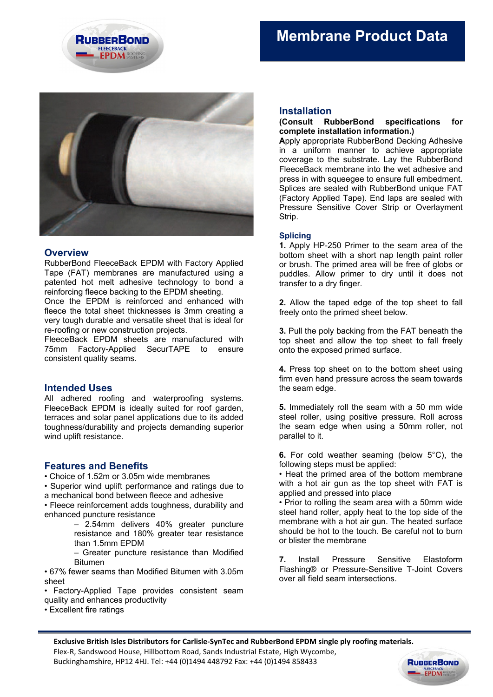



**RUBBERBOND** 

**EPDM SYSTEM** 

# **Overview**

RubberBond FleeceBack EPDM with Factory Applied Tape (FAT) membranes are manufactured using a patented hot melt adhesive technology to bond a reinforcing fleece backing to the EPDM sheeting.

Once the EPDM is reinforced and enhanced with fleece the total sheet thicknesses is 3mm creating a very tough durable and versatile sheet that is ideal for re-roofing or new construction projects.

FleeceBack EPDM sheets are manufactured with 75mm Factory-Applied SecurTAPE to ensure consistent quality seams.

# **Intended Uses**

All adhered roofing and waterproofing systems. FleeceBack EPDM is ideally suited for roof garden, terraces and solar panel applications due to its added toughness/durability and projects demanding superior wind uplift resistance.

# **Features and Benefits**

• Choice of 1.52m or 3.05m wide membranes

• Superior wind uplift performance and ratings due to a mechanical bond between fleece and adhesive

• Fleece reinforcement adds toughness, durability and enhanced puncture resistance

> – 2.54mm delivers 40% greater puncture resistance and 180% greater tear resistance than 1.5mm EPDM

– Greater puncture resistance than Modified Bitumen

• 67% fewer seams than Modified Bitumen with 3.05m sheet

• Factory-Applied Tape provides consistent seam quality and enhances productivity

• Excellent fire ratings

# **Installation**

### **(Consult RubberBond specifications for complete installation information.)**

**A**pply appropriate RubberBond Decking Adhesive in a uniform manner to achieve appropriate coverage to the substrate. Lay the RubberBond FleeceBack membrane into the wet adhesive and press in with squeegee to ensure full embedment. Splices are sealed with RubberBond unique FAT (Factory Applied Tape). End laps are sealed with Pressure Sensitive Cover Strip or Overlayment Strip.

# **Splicing**

**1.** Apply HP-250 Primer to the seam area of the bottom sheet with a short nap length paint roller or brush. The primed area will be free of globs or puddles. Allow primer to dry until it does not transfer to a dry finger.

**2.** Allow the taped edge of the top sheet to fall freely onto the primed sheet below.

**3.** Pull the poly backing from the FAT beneath the top sheet and allow the top sheet to fall freely onto the exposed primed surface.

**4.** Press top sheet on to the bottom sheet using firm even hand pressure across the seam towards the seam edge.

**5.** Immediately roll the seam with a 50 mm wide steel roller, using positive pressure. Roll across the seam edge when using a 50mm roller, not parallel to it.

**6.** For cold weather seaming (below 5°C), the following steps must be applied:

• Heat the primed area of the bottom membrane with a hot air gun as the top sheet with FAT is applied and pressed into place

• Prior to rolling the seam area with a 50mm wide steel hand roller, apply heat to the top side of the membrane with a hot air gun. The heated surface should be hot to the touch. Be careful not to burn or blister the membrane

**7.** Install Pressure Sensitive Elastoform Flashing® or Pressure-Sensitive T-Joint Covers over all field seam intersections.